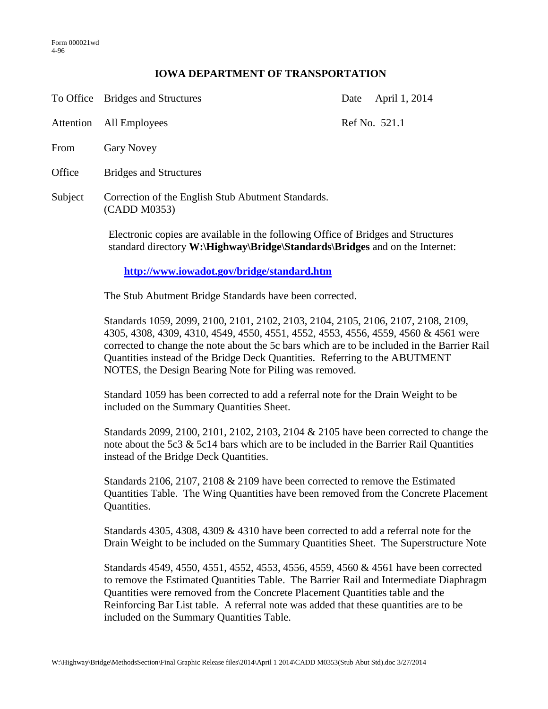## **IOWA DEPARTMENT OF TRANSPORTATION**

|           | To Office Bridges and Structures                                                                  | Date | April 1, 2014 |
|-----------|---------------------------------------------------------------------------------------------------|------|---------------|
| Attention | All Employees                                                                                     |      | Ref No. 521.1 |
| From      | <b>Gary Novey</b>                                                                                 |      |               |
| Office    | <b>Bridges and Structures</b>                                                                     |      |               |
| Subject   | Correction of the English Stub Abutment Standards.<br>(CADD M0353)                                |      |               |
|           | Electronic copies are available in the following Office of Bridges and Structures<br>$\mathbf{W}$ |      |               |

standard directory **W:\Highway\Bridge\Standards\Bridges** and on the Internet:

**<http://www.iowadot.gov/bridge/standard.htm>**

The Stub Abutment Bridge Standards have been corrected.

Standards 1059, 2099, 2100, 2101, 2102, 2103, 2104, 2105, 2106, 2107, 2108, 2109, 4305, 4308, 4309, 4310, 4549, 4550, 4551, 4552, 4553, 4556, 4559, 4560 & 4561 were corrected to change the note about the 5c bars which are to be included in the Barrier Rail Quantities instead of the Bridge Deck Quantities. Referring to the ABUTMENT NOTES, the Design Bearing Note for Piling was removed.

Standard 1059 has been corrected to add a referral note for the Drain Weight to be included on the Summary Quantities Sheet.

Standards 2099, 2100, 2101, 2102, 2103, 2104 & 2105 have been corrected to change the note about the 5c3 & 5c14 bars which are to be included in the Barrier Rail Quantities instead of the Bridge Deck Quantities.

Standards 2106, 2107, 2108 & 2109 have been corrected to remove the Estimated Quantities Table. The Wing Quantities have been removed from the Concrete Placement Quantities.

Standards 4305, 4308, 4309 & 4310 have been corrected to add a referral note for the Drain Weight to be included on the Summary Quantities Sheet. The Superstructure Note

Standards 4549, 4550, 4551, 4552, 4553, 4556, 4559, 4560 & 4561 have been corrected to remove the Estimated Quantities Table. The Barrier Rail and Intermediate Diaphragm Quantities were removed from the Concrete Placement Quantities table and the Reinforcing Bar List table. A referral note was added that these quantities are to be included on the Summary Quantities Table.